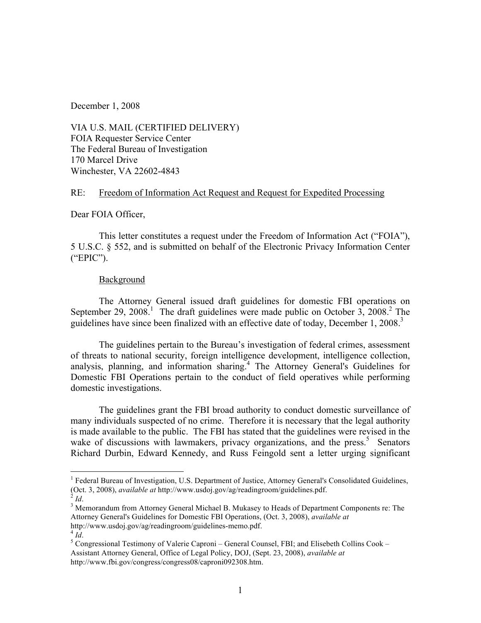December 1, 2008

VIA U.S. MAIL (CERTIFIED DELIVERY) FOIA Requester Service Center The Federal Bureau of Investigation 170 Marcel Drive Winchester, VA 22602-4843

# RE: Freedom of Information Act Request and Request for Expedited Processing

Dear FOIA Officer,

This letter constitutes a request under the Freedom of Information Act ("FOIA"), 5 U.S.C. § 552, and is submitted on behalf of the Electronic Privacy Information Center ("EPIC").

# **Background**

The Attorney General issued draft guidelines for domestic FBI operations on September 29, 2008.<sup>1</sup> The draft guidelines were made public on October 3, 2008.<sup>2</sup> The guidelines have since been finalized with an effective date of today, December 1, 2008.<sup>3</sup>

The guidelines pertain to the Bureau's investigation of federal crimes, assessment of threats to national security, foreign intelligence development, intelligence collection, analysis, planning, and information sharing.<sup>4</sup> The Attorney General's Guidelines for Domestic FBI Operations pertain to the conduct of field operatives while performing domestic investigations.

The guidelines grant the FBI broad authority to conduct domestic surveillance of many individuals suspected of no crime. Therefore it is necessary that the legal authority is made available to the public. The FBI has stated that the guidelines were revised in the wake of discussions with lawmakers, privacy organizations, and the press.<sup>5</sup> Senators Richard Durbin, Edward Kennedy, and Russ Feingold sent a letter urging significant

 $\frac{1}{1}$ <sup>1</sup> Federal Bureau of Investigation, U.S. Department of Justice, Attorney General's Consolidated Guidelines, (Oct. 3, 2008), *available at* http://www.usdoj.gov/ag/readingroom/guidelines.pdf.

<sup>&</sup>lt;sup>2</sup> *Id.* 3 Memorandum from Attorney General Michael B. Mukasey to Heads of Department Components re: The 3 Memorandum from Attorney General Michael B. Mukasey to Heads of Department Components re: The Attorney General's Guidelines for Domestic FBI Operations, (Oct. 3, 2008), *available at*

http://www.usdoj.gov/ag/readingroom/guidelines-memo.pdf.<br><sup>4</sup> *Id*. <sup>5</sup> Congressional Testimony of Valerie Caproni – General Counsel, FBI; and Elisebeth Collins Cook – Assistant Attorney General, Office of Legal Policy, DOJ, (Sept. 23, 2008), *available at* http://www.fbi.gov/congress/congress08/caproni092308.htm.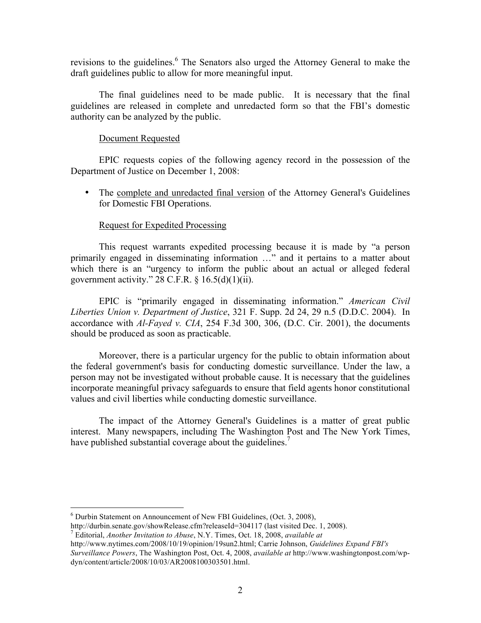revisions to the guidelines.<sup>6</sup> The Senators also urged the Attorney General to make the draft guidelines public to allow for more meaningful input.

The final guidelines need to be made public. It is necessary that the final guidelines are released in complete and unredacted form so that the FBI's domestic authority can be analyzed by the public.

# Document Requested

EPIC requests copies of the following agency record in the possession of the Department of Justice on December 1, 2008:

• The complete and unredacted final version of the Attorney General's Guidelines for Domestic FBI Operations.

#### Request for Expedited Processing

This request warrants expedited processing because it is made by "a person primarily engaged in disseminating information …" and it pertains to a matter about which there is an "urgency to inform the public about an actual or alleged federal government activity."  $28$  C.F.R. § 16.5(d)(1)(ii).

EPIC is "primarily engaged in disseminating information." *American Civil Liberties Union v. Department of Justice*, 321 F. Supp. 2d 24, 29 n.5 (D.D.C. 2004). In accordance with *Al-Fayed v. CIA*, 254 F.3d 300, 306, (D.C. Cir. 2001), the documents should be produced as soon as practicable.

Moreover, there is a particular urgency for the public to obtain information about the federal government's basis for conducting domestic surveillance. Under the law, a person may not be investigated without probable cause. It is necessary that the guidelines incorporate meaningful privacy safeguards to ensure that field agents honor constitutional values and civil liberties while conducting domestic surveillance.

The impact of the Attorney General's Guidelines is a matter of great public interest. Many newspapers, including The Washington Post and The New York Times, have published substantial coverage about the guidelines.<sup>7</sup>

 $6$  Durbin Statement on Announcement of New FBI Guidelines, (Oct. 3, 2008),

http://durbin.senate.gov/showRelease.cfm?releaseId=304117 (last visited Dec. 1, 2008).<br><sup>7</sup> Editorial, *Another Invitation to Abuse*, N.Y. Times, Oct. 18, 2008, *available at* 

http://www.nytimes.com/2008/10/19/opinion/19sun2.html; Carrie Johnson, *Guidelines Expand FBI's Surveillance Powers*, The Washington Post, Oct. 4, 2008, *available at* http://www.washingtonpost.com/wpdyn/content/article/2008/10/03/AR2008100303501.html.